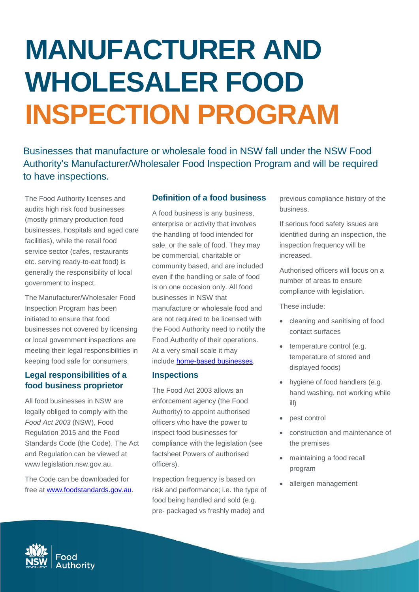# **MANUFACTURER AND WHOLESALER FOOD INSPECTION PROGRAM**

Businesses that manufacture or wholesale food in NSW fall under the NSW Food Authority's Manufacturer/Wholesaler Food Inspection Program and will be required to have inspections.

The Food Authority licenses and audits high risk food businesses (mostly primary production food businesses, hospitals and aged care facilities), while the retail food service sector (cafes, restaurants etc. serving ready-to-eat food) is generally the responsibility of local government to inspect.

The Manufacturer/Wholesaler Food Inspection Program has been initiated to ensure that food businesses not covered by licensing or local government inspections are meeting their legal responsibilities in keeping food safe for consumers.

## **Legal responsibilities of a food business proprietor**

All food businesses in NSW are legally obliged to comply with the *Food Act 2003* (NSW), Food Regulation 2015 and the Food Standards Code (the Code). The Act and Regulation can be viewed at www.legislation.nsw.gov.au.

The Code can be downloaded for free at www.foodstandards.gov.au.

## **Definition of a food business**

A food business is any business, enterprise or activity that involves the handling of food intended for sale, or the sale of food. They may be commercial, charitable or community based, and are included even if the handling or sale of food is on one occasion only. All food businesses in NSW that manufacture or wholesale food and are not required to be licensed with the Food Authority need to notify the Food Authority of their operations. At a very small scale it may include [home-based businesses.](http://www.foodauthority.nsw.gov.au/retail/home-based-mixed-businesses)

#### **Inspections**

The Food Act 2003 allows an enforcement agency (the Food Authority) to appoint authorised officers who have the power to inspect food businesses for compliance with the legislation (see factsheet Powers of authorised officers).

Inspection frequency is based on risk and performance; i.e. the type of food being handled and sold (e.g. pre- packaged vs freshly made) and

previous compliance history of the business.

If serious food safety issues are identified during an inspection, the inspection frequency will be increased.

Authorised officers will focus on a number of areas to ensure compliance with legislation.

These include:

- cleaning and sanitising of food contact surfaces
- temperature control (e.g. temperature of stored and displayed foods)
- hygiene of food handlers (e.g. hand washing, not working while ill)
- pest control
- construction and maintenance of the premises
- maintaining a food recall program
- allergen management